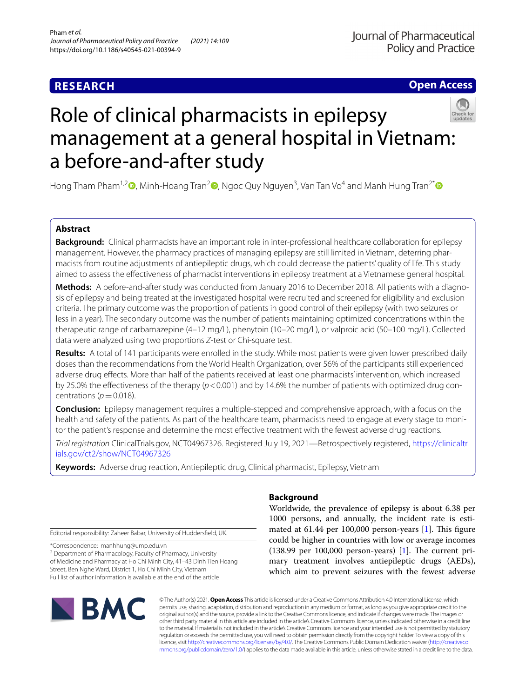# **RESEARCH**

**Open Access**

# Role of clinical pharmacists in epilepsy management at a general hospital in Vietnam: a before-and-after study

Hong Tham Pham<sup>1,2</sup> (D[,](http://orcid.org/0000-0003-1351-8442) Minh-Hoang Tran<sup>2</sup> (D, Ngoc Quy Nguyen<sup>3</sup>, Van Tan Vo<sup>4</sup> and Manh Hung Tran<sup>2[\\*](http://orcid.org/0000-0002-2937-9849)</sup>

# **Abstract**

**Background:** Clinical pharmacists have an important role in inter-professional healthcare collaboration for epilepsy management. However, the pharmacy practices of managing epilepsy are still limited in Vietnam, deterring pharmacists from routine adjustments of antiepileptic drugs, which could decrease the patients' quality of life. This study aimed to assess the efectiveness of pharmacist interventions in epilepsy treatment at a Vietnamese general hospital.

Methods: A before-and-after study was conducted from January 2016 to December 2018. All patients with a diagnosis of epilepsy and being treated at the investigated hospital were recruited and screened for eligibility and exclusion criteria. The primary outcome was the proportion of patients in good control of their epilepsy (with two seizures or less in a year). The secondary outcome was the number of patients maintaining optimized concentrations within the therapeutic range of carbamazepine (4–12 mg/L), phenytoin (10–20 mg/L), or valproic acid (50–100 mg/L). Collected data were analyzed using two proportions *Z*-test or Chi-square test.

**Results:** A total of 141 participants were enrolled in the study. While most patients were given lower prescribed daily doses than the recommendations from the World Health Organization, over 56% of the participants still experienced adverse drug efects. More than half of the patients received at least one pharmacists' intervention, which increased by 25.0% the effectiveness of the therapy ( $p < 0.001$ ) and by 14.6% the number of patients with optimized drug concentrations ( $p=0.018$ ).

**Conclusion:** Epilepsy management requires a multiple-stepped and comprehensive approach, with a focus on the health and safety of the patients. As part of the healthcare team, pharmacists need to engage at every stage to monitor the patient's response and determine the most efective treatment with the fewest adverse drug reactions.

*Trial registration* ClinicalTrials.gov, NCT04967326. Registered July 19, 2021—Retrospectively registered, [https://clinicaltr](https://clinicaltrials.gov/ct2/show/NCT04967326) [ials.gov/ct2/show/NCT04967326](https://clinicaltrials.gov/ct2/show/NCT04967326)

**Keywords:** Adverse drug reaction, Antiepileptic drug, Clinical pharmacist, Epilepsy, Vietnam

Editorial responsibility: Zaheer Babar, University of Huddersfeld, UK.

\*Correspondence: manhhung@ump.edu.vn

<sup>2</sup> Department of Pharmacology, Faculty of Pharmacy, University of Medicine and Pharmacy at Ho Chi Minh City, 41–43 Dinh Tien Hoang Street, Ben Nghe Ward, District 1, Ho Chi Minh City, Vietnam Full list of author information is available at the end of the article



# **Background**

Worldwide, the prevalence of epilepsy is about 6.38 per 1000 persons, and annually, the incident rate is estimated at  $61.44$  per  $100,000$  person-years  $[1]$  $[1]$ . This figure could be higher in countries with low or average incomes  $(138.99$  per 100,000 person-years) [\[1](#page-6-0)]. The current primary treatment involves antiepileptic drugs (AEDs), which aim to prevent seizures with the fewest adverse

© The Author(s) 2021. **Open Access** This article is licensed under a Creative Commons Attribution 4.0 International License, which permits use, sharing, adaptation, distribution and reproduction in any medium or format, as long as you give appropriate credit to the original author(s) and the source, provide a link to the Creative Commons licence, and indicate if changes were made. The images or other third party material in this article are included in the article's Creative Commons licence, unless indicated otherwise in a credit line to the material. If material is not included in the article's Creative Commons licence and your intended use is not permitted by statutory regulation or exceeds the permitted use, you will need to obtain permission directly from the copyright holder. To view a copy of this licence, visit [http://creativecommons.org/licenses/by/4.0/.](http://creativecommons.org/licenses/by/4.0/) The Creative Commons Public Domain Dedication waiver ([http://creativeco](http://creativecommons.org/publicdomain/zero/1.0/) [mmons.org/publicdomain/zero/1.0/](http://creativecommons.org/publicdomain/zero/1.0/)) applies to the data made available in this article, unless otherwise stated in a credit line to the data.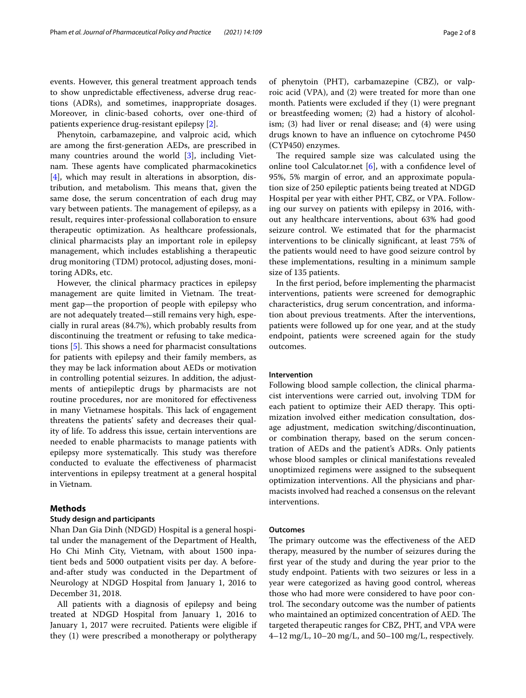events. However, this general treatment approach tends to show unpredictable efectiveness, adverse drug reactions (ADRs), and sometimes, inappropriate dosages. Moreover, in clinic-based cohorts, over one-third of patients experience drug-resistant epilepsy [[2\]](#page-6-1).

Phenytoin, carbamazepine, and valproic acid, which are among the frst-generation AEDs, are prescribed in many countries around the world [[3\]](#page-6-2), including Vietnam. These agents have complicated pharmacokinetics [[4\]](#page-6-3), which may result in alterations in absorption, distribution, and metabolism. This means that, given the same dose, the serum concentration of each drug may vary between patients. The management of epilepsy, as a result, requires inter-professional collaboration to ensure therapeutic optimization. As healthcare professionals, clinical pharmacists play an important role in epilepsy management, which includes establishing a therapeutic drug monitoring (TDM) protocol, adjusting doses, monitoring ADRs, etc.

However, the clinical pharmacy practices in epilepsy management are quite limited in Vietnam. The treatment gap—the proportion of people with epilepsy who are not adequately treated—still remains very high, especially in rural areas (84.7%), which probably results from discontinuing the treatment or refusing to take medications  $[5]$  $[5]$ . This shows a need for pharmacist consultations for patients with epilepsy and their family members, as they may be lack information about AEDs or motivation in controlling potential seizures. In addition, the adjustments of antiepileptic drugs by pharmacists are not routine procedures, nor are monitored for efectiveness in many Vietnamese hospitals. This lack of engagement threatens the patients' safety and decreases their quality of life. To address this issue, certain interventions are needed to enable pharmacists to manage patients with epilepsy more systematically. This study was therefore conducted to evaluate the efectiveness of pharmacist interventions in epilepsy treatment at a general hospital in Vietnam.

# **Methods**

# **Study design and participants**

Nhan Dan Gia Dinh (NDGD) Hospital is a general hospital under the management of the Department of Health, Ho Chi Minh City, Vietnam, with about 1500 inpatient beds and 5000 outpatient visits per day. A beforeand-after study was conducted in the Department of Neurology at NDGD Hospital from January 1, 2016 to December 31, 2018.

All patients with a diagnosis of epilepsy and being treated at NDGD Hospital from January 1, 2016 to January 1, 2017 were recruited. Patients were eligible if they (1) were prescribed a monotherapy or polytherapy of phenytoin (PHT), carbamazepine (CBZ), or valproic acid (VPA), and (2) were treated for more than one month. Patients were excluded if they (1) were pregnant or breastfeeding women; (2) had a history of alcoholism; (3) had liver or renal disease; and (4) were using drugs known to have an infuence on cytochrome P450 (CYP450) enzymes.

The required sample size was calculated using the online tool Calculator.net [\[6](#page-6-5)], with a confdence level of 95%, 5% margin of error, and an approximate population size of 250 epileptic patients being treated at NDGD Hospital per year with either PHT, CBZ, or VPA. Following our survey on patients with epilepsy in 2016, without any healthcare interventions, about 63% had good seizure control. We estimated that for the pharmacist interventions to be clinically signifcant, at least 75% of the patients would need to have good seizure control by these implementations, resulting in a minimum sample size of 135 patients.

In the frst period, before implementing the pharmacist interventions, patients were screened for demographic characteristics, drug serum concentration, and information about previous treatments. After the interventions, patients were followed up for one year, and at the study endpoint, patients were screened again for the study outcomes.

## **Intervention**

Following blood sample collection, the clinical pharmacist interventions were carried out, involving TDM for each patient to optimize their AED therapy. This optimization involved either medication consultation, dosage adjustment, medication switching/discontinuation, or combination therapy, based on the serum concentration of AEDs and the patient's ADRs. Only patients whose blood samples or clinical manifestations revealed unoptimized regimens were assigned to the subsequent optimization interventions. All the physicians and pharmacists involved had reached a consensus on the relevant interventions.

#### **Outcomes**

The primary outcome was the effectiveness of the AED therapy, measured by the number of seizures during the frst year of the study and during the year prior to the study endpoint. Patients with two seizures or less in a year were categorized as having good control, whereas those who had more were considered to have poor control. The secondary outcome was the number of patients who maintained an optimized concentration of AED. The targeted therapeutic ranges for CBZ, PHT, and VPA were  $4-12$  mg/L,  $10-20$  mg/L, and  $50-100$  mg/L, respectively.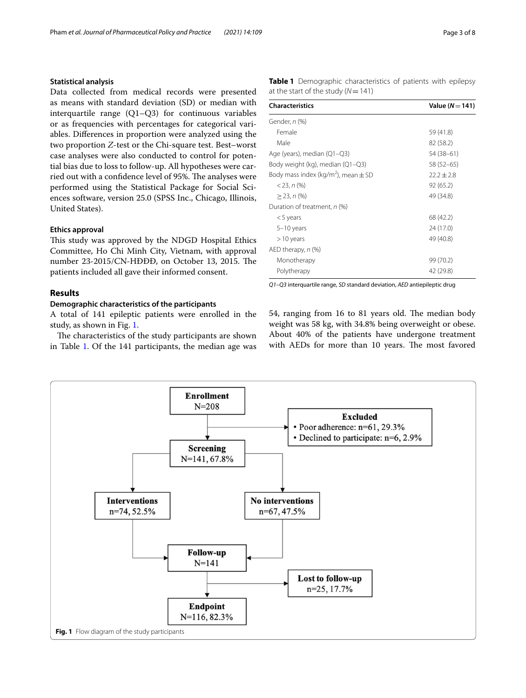# **Statistical analysis**

Data collected from medical records were presented as means with standard deviation (SD) or median with interquartile range (Q1–Q3) for continuous variables or as frequencies with percentages for categorical variables. Diferences in proportion were analyzed using the two proportion *Z*-test or the Chi-square test. Best–worst case analyses were also conducted to control for potential bias due to loss to follow-up. All hypotheses were carried out with a confidence level of 95%. The analyses were performed using the Statistical Package for Social Sciences software, version 25.0 (SPSS Inc., Chicago, Illinois, United States).

# **Ethics approval**

This study was approved by the NDGD Hospital Ethics Committee, Ho Chi Minh City, Vietnam, with approval number 23-2015/CN-HĐĐĐ, on October 13, 2015. The patients included all gave their informed consent.

# **Results**

# **Demographic characteristics of the participants**

A total of 141 epileptic patients were enrolled in the study, as shown in Fig. [1](#page-2-0).

The characteristics of the study participants are shown in Table [1.](#page-2-1) Of the 141 participants, the median age was <span id="page-2-1"></span>**Table 1** Demographic characteristics of patients with epilepsy at the start of the study (*N*=141)

| <b>Characteristics</b>                              | Value $(N=141)$ |  |  |
|-----------------------------------------------------|-----------------|--|--|
| Gender, n (%)                                       |                 |  |  |
| Female                                              | 59 (41.8)       |  |  |
| Male                                                | 82 (58.2)       |  |  |
| Age (years), median (Q1-Q3)                         | 54 (38 - 61)    |  |  |
| Body weight (kg), median (Q1–Q3)                    | 58 (52–65)      |  |  |
| Body mass index (kg/m <sup>2</sup> ), mean $\pm$ SD | $22.2 \pm 2.8$  |  |  |
| $<$ 23, n $(\%)$                                    | 92(65.2)        |  |  |
| $>$ 23, n $(\%)$                                    | 49 (34.8)       |  |  |
| Duration of treatment, n (%)                        |                 |  |  |
| $<$ 5 years                                         | 68 (42.2)       |  |  |
| 5-10 years                                          | 24 (17.0)       |  |  |
| $>10$ years                                         | 49 (40.8)       |  |  |
| AED therapy, n (%)                                  |                 |  |  |
| Monotherapy                                         | 99 (70.2)       |  |  |
| Polytherapy                                         | 42 (29.8)       |  |  |

*Q1–Q3* interquartile range, *SD* standard deviation, *AED* antiepileptic drug

54, ranging from 16 to 81 years old. The median body weight was 58 kg, with 34.8% being overweight or obese. About 40% of the patients have undergone treatment with AEDs for more than 10 years. The most favored

<span id="page-2-0"></span>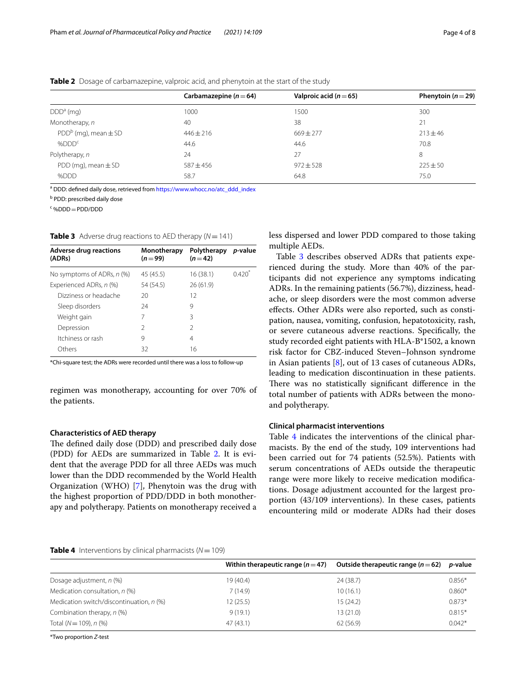|                            | Carbamazepine ( $n = 64$ ) | Valproic acid $(n=65)$ | Phenytoin ( $n = 29$ ) |
|----------------------------|----------------------------|------------------------|------------------------|
| $DDDa$ (mg)                | 1000                       | 1500                   | 300                    |
| Monotherapy, n             | 40                         | 38                     | 21                     |
| $PDDb$ (mg), mean $\pm$ SD | $446 \pm 216$              | $669 \pm 277$          | $213 + 46$             |
| %DDD <sup>c</sup>          | 44.6                       | 44.6                   | 70.8                   |
| Polytherapy, n             | 24                         | 27                     | 8                      |
| PDD (mg), mean $\pm$ SD    | $587 + 456$                | $972 \pm 528$          | $225 + 50$             |
| %DDD                       | 58.7                       | 64.8                   | 75.0                   |

<span id="page-3-0"></span>**Table 2** Dosage of carbamazepine, valproic acid, and phenytoin at the start of the study

a DDD: defined daily dose, retrieved from [https://www.whocc.no/atc\\_ddd\\_index](https://www.whocc.no/atc_ddd_index)

<sup>b</sup> PDD: prescribed daily dose

 $c \sim 0$ DDD=PDD/DDD

<span id="page-3-1"></span>**Table 3** Adverse drug reactions to AED therapy  $(N = 141)$ 

| <b>Adverse drug reactions</b><br>(ADRs) | Monotherapy<br>$(n=99)$ | Polytherapy<br>$(n=42)$ | p-value |
|-----------------------------------------|-------------------------|-------------------------|---------|
| No symptoms of ADRs, n (%)              | 45 (45.5)               | 16 (38.1)               | 0420    |
| Experienced ADRs, n (%)                 | 54 (54.5)               | 26(61.9)                |         |
| Dizziness or headache                   | 20                      | 12                      |         |
| Sleep disorders                         | 24                      | 9                       |         |
| Weight gain                             | 7                       | ζ                       |         |
| Depression                              | $\mathcal{P}$           | 2                       |         |
| Itchiness or rash                       | 9                       | 4                       |         |
| Others                                  | 32                      | 16                      |         |

\*Chi-square test; the ADRs were recorded until there was a loss to follow-up

regimen was monotherapy, accounting for over 70% of the patients.

# **Characteristics of AED therapy**

The defined daily dose (DDD) and prescribed daily dose (PDD) for AEDs are summarized in Table [2](#page-3-0). It is evident that the average PDD for all three AEDs was much lower than the DDD recommended by the World Health Organization (WHO) [[7\]](#page-6-6), Phenytoin was the drug with the highest proportion of PDD/DDD in both monotherapy and polytherapy. Patients on monotherapy received a less dispersed and lower PDD compared to those taking multiple AEDs.

Table [3](#page-3-1) describes observed ADRs that patients experienced during the study. More than 40% of the participants did not experience any symptoms indicating ADRs. In the remaining patients (56.7%), dizziness, headache, or sleep disorders were the most common adverse efects. Other ADRs were also reported, such as constipation, nausea, vomiting, confusion, hepatotoxicity, rash, or severe cutaneous adverse reactions. Specifcally, the study recorded eight patients with HLA-B\*1502, a known risk factor for CBZ-induced Steven–Johnson syndrome in Asian patients [\[8\]](#page-6-7), out of 13 cases of cutaneous ADRs, leading to medication discontinuation in these patients. There was no statistically significant difference in the total number of patients with ADRs between the monoand polytherapy.

#### **Clinical pharmacist interventions**

Table [4](#page-3-2) indicates the interventions of the clinical pharmacists. By the end of the study, 109 interventions had been carried out for 74 patients (52.5%). Patients with serum concentrations of AEDs outside the therapeutic range were more likely to receive medication modifcations. Dosage adjustment accounted for the largest proportion (43/109 interventions). In these cases, patients encountering mild or moderate ADRs had their doses

#### <span id="page-3-2"></span>**Table 4** Interventions by clinical pharmacists  $(N = 109)$

| Within therapeutic range $(n=47)$ | Outside therapeutic range ( $n = 62$ ) | <i>p</i> -value |
|-----------------------------------|----------------------------------------|-----------------|
| 19 (40.4)                         | 24 (38.7)                              | $0.856*$        |
| 7(14.9)                           | 10(16.1)                               | $0.860*$        |
| 12 (25.5)                         | 15(24.2)                               | $0.873*$        |
| 9(19.1)                           | 13(21.0)                               | $0.815*$        |
| 47(43.1)                          | 62(56.9)                               | $0.042*$        |
|                                   |                                        |                 |

\*Two proportion *Z*-test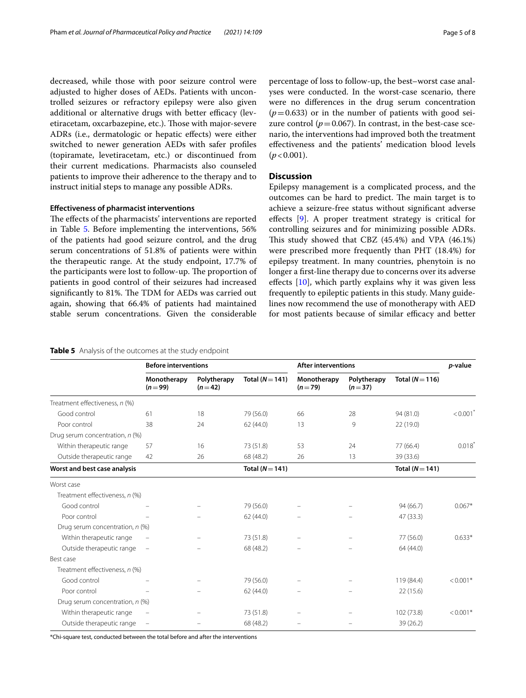decreased, while those with poor seizure control were adjusted to higher doses of AEDs. Patients with uncontrolled seizures or refractory epilepsy were also given additional or alternative drugs with better efficacy (levetiracetam, oxcarbazepine, etc.). Those with major-severe ADRs (i.e., dermatologic or hepatic efects) were either switched to newer generation AEDs with safer profles (topiramate, levetiracetam, etc.) or discontinued from their current medications. Pharmacists also counseled patients to improve their adherence to the therapy and to instruct initial steps to manage any possible ADRs.

### **Efectiveness of pharmacist interventions**

The effects of the pharmacists' interventions are reported in Table [5](#page-4-0). Before implementing the interventions, 56% of the patients had good seizure control, and the drug serum concentrations of 51.8% of patients were within the therapeutic range. At the study endpoint, 17.7% of the participants were lost to follow-up. The proportion of patients in good control of their seizures had increased significantly to 81%. The TDM for AEDs was carried out again, showing that 66.4% of patients had maintained stable serum concentrations. Given the considerable percentage of loss to follow-up, the best–worst case analyses were conducted. In the worst-case scenario, there were no diferences in the drug serum concentration  $(p=0.633)$  or in the number of patients with good seizure control ( $p = 0.067$ ). In contrast, in the best-case scenario, the interventions had improved both the treatment efectiveness and the patients' medication blood levels  $(p < 0.001)$ .

# **Discussion**

Epilepsy management is a complicated process, and the outcomes can be hard to predict. The main target is to achieve a seizure-free status without signifcant adverse efects [\[9](#page-6-8)]. A proper treatment strategy is critical for controlling seizures and for minimizing possible ADRs. This study showed that CBZ (45.4%) and VPA (46.1%) were prescribed more frequently than PHT (18.4%) for epilepsy treatment. In many countries, phenytoin is no longer a frst-line therapy due to concerns over its adverse effects [[10\]](#page-6-9), which partly explains why it was given less frequently to epileptic patients in this study. Many guidelines now recommend the use of monotherapy with AED for most patients because of similar efficacy and better

## <span id="page-4-0"></span>**Table 5** Analysis of the outcomes at the study endpoint

|                                 | <b>Before interventions</b> |                         | <b>After interventions</b> |                         |                         | p-value         |                        |
|---------------------------------|-----------------------------|-------------------------|----------------------------|-------------------------|-------------------------|-----------------|------------------------|
|                                 | Monotherapy<br>$(n = 99)$   | Polytherapy<br>$(n=42)$ | Total ( $N = 141$ )        | Monotherapy<br>$(n=79)$ | Polytherapy<br>$(n=37)$ | Total $(N=116)$ |                        |
| Treatment effectiveness, n (%)  |                             |                         |                            |                         |                         |                 |                        |
| Good control                    | 61                          | 18                      | 79 (56.0)                  | 66                      | 28                      | 94 (81.0)       | $< 0.001$ <sup>*</sup> |
| Poor control                    | 38                          | 24                      | 62(44.0)                   | 13                      | 9                       | 22 (19.0)       |                        |
| Drug serum concentration, n (%) |                             |                         |                            |                         |                         |                 |                        |
| Within therapeutic range        | 57                          | 16                      | 73 (51.8)                  | 53                      | 24                      | 77 (66.4)       | $0.018*$               |
| Outside therapeutic range       | 42                          | 26                      | 68 (48.2)                  | 26                      | 13                      | 39 (33.6)       |                        |
| Worst and best case analysis    |                             |                         | Total $(N = 141)$          |                         |                         | Total $(N=141)$ |                        |
| Worst case                      |                             |                         |                            |                         |                         |                 |                        |
| Treatment effectiveness, n (%)  |                             |                         |                            |                         |                         |                 |                        |
| Good control                    |                             |                         | 79 (56.0)                  |                         |                         | 94 (66.7)       | $0.067*$               |
| Poor control                    |                             |                         | 62(44.0)                   |                         |                         | 47 (33.3)       |                        |
| Drug serum concentration, n (%) |                             |                         |                            |                         |                         |                 |                        |
| Within therapeutic range        |                             |                         | 73 (51.8)                  |                         |                         | 77 (56.0)       | $0.633*$               |
| Outside therapeutic range       | $\qquad \qquad -$           |                         | 68 (48.2)                  |                         |                         | 64 (44.0)       |                        |
| Best case                       |                             |                         |                            |                         |                         |                 |                        |
| Treatment effectiveness, n (%)  |                             |                         |                            |                         |                         |                 |                        |
| Good control                    |                             |                         | 79 (56.0)                  |                         |                         | 119 (84.4)      | $< 0.001*$             |
| Poor control                    |                             |                         | 62(44.0)                   |                         |                         | 22 (15.6)       |                        |
| Drug serum concentration, n (%) |                             |                         |                            |                         |                         |                 |                        |
| Within therapeutic range        |                             |                         | 73 (51.8)                  |                         |                         | 102 (73.8)      | $< 0.001*$             |
| Outside therapeutic range       | $\qquad \qquad -$           |                         | 68 (48.2)                  |                         |                         | 39 (26.2)       |                        |

\*Chi-square test, conducted between the total before and after the interventions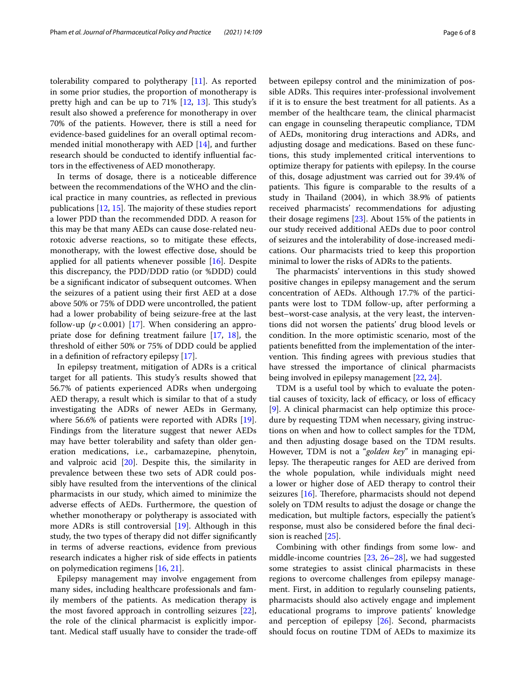tolerability compared to polytherapy [[11\]](#page-6-10). As reported in some prior studies, the proportion of monotherapy is pretty high and can be up to  $71\%$   $[12, 13]$  $[12, 13]$  $[12, 13]$ . This study's result also showed a preference for monotherapy in over 70% of the patients. However, there is still a need for evidence-based guidelines for an overall optimal recommended initial monotherapy with AED [[14\]](#page-7-0), and further research should be conducted to identify infuential factors in the efectiveness of AED monotherapy.

In terms of dosage, there is a noticeable diference between the recommendations of the WHO and the clinical practice in many countries, as refected in previous publications  $[12, 15]$  $[12, 15]$  $[12, 15]$ . The majority of these studies report a lower PDD than the recommended DDD. A reason for this may be that many AEDs can cause dose-related neurotoxic adverse reactions, so to mitigate these efects, monotherapy, with the lowest efective dose, should be applied for all patients whenever possible [\[16\]](#page-7-2). Despite this discrepancy, the PDD/DDD ratio (or %DDD) could be a signifcant indicator of subsequent outcomes. When the seizures of a patient using their frst AED at a dose above 50% or 75% of DDD were uncontrolled, the patient had a lower probability of being seizure-free at the last follow-up  $(p<0.001)$  [[17\]](#page-7-3). When considering an appropriate dose for defning treatment failure [\[17](#page-7-3), [18\]](#page-7-4), the threshold of either 50% or 75% of DDD could be applied in a defnition of refractory epilepsy [\[17\]](#page-7-3).

In epilepsy treatment, mitigation of ADRs is a critical target for all patients. This study's results showed that 56.7% of patients experienced ADRs when undergoing AED therapy, a result which is similar to that of a study investigating the ADRs of newer AEDs in Germany, where 56.6% of patients were reported with ADRs [\[19](#page-7-5)]. Findings from the literature suggest that newer AEDs may have better tolerability and safety than older generation medications, i.e., carbamazepine, phenytoin, and valproic acid [[20](#page-7-6)]. Despite this, the similarity in prevalence between these two sets of ADR could possibly have resulted from the interventions of the clinical pharmacists in our study, which aimed to minimize the adverse efects of AEDs. Furthermore, the question of whether monotherapy or polytherapy is associated with more ADRs is still controversial [[19\]](#page-7-5). Although in this study, the two types of therapy did not difer signifcantly in terms of adverse reactions, evidence from previous research indicates a higher risk of side efects in patients on polymedication regimens [[16,](#page-7-2) [21\]](#page-7-7).

Epilepsy management may involve engagement from many sides, including healthcare professionals and family members of the patients. As medication therapy is the most favored approach in controlling seizures [\[22](#page-7-8)], the role of the clinical pharmacist is explicitly important. Medical staff usually have to consider the trade-off between epilepsy control and the minimization of possible ADRs. This requires inter-professional involvement if it is to ensure the best treatment for all patients. As a member of the healthcare team, the clinical pharmacist can engage in counseling therapeutic compliance, TDM of AEDs, monitoring drug interactions and ADRs, and adjusting dosage and medications. Based on these functions, this study implemented critical interventions to optimize therapy for patients with epilepsy. In the course of this, dosage adjustment was carried out for 39.4% of patients. This figure is comparable to the results of a study in Thailand (2004), in which 38.9% of patients received pharmacists' recommendations for adjusting their dosage regimens [[23](#page-7-9)]. About 15% of the patients in our study received additional AEDs due to poor control of seizures and the intolerability of dose-increased medications. Our pharmacists tried to keep this proportion minimal to lower the risks of ADRs to the patients.

The pharmacists' interventions in this study showed positive changes in epilepsy management and the serum concentration of AEDs. Although 17.7% of the participants were lost to TDM follow-up, after performing a best–worst-case analysis, at the very least, the interventions did not worsen the patients' drug blood levels or condition. In the more optimistic scenario, most of the patients beneftted from the implementation of the intervention. This finding agrees with previous studies that have stressed the importance of clinical pharmacists being involved in epilepsy management [[22,](#page-7-8) [24](#page-7-10)].

TDM is a useful tool by which to evaluate the potential causes of toxicity, lack of efficacy, or loss of efficacy [[9\]](#page-6-8). A clinical pharmacist can help optimize this procedure by requesting TDM when necessary, giving instructions on when and how to collect samples for the TDM, and then adjusting dosage based on the TDM results. However, TDM is not a "*golden key*" in managing epilepsy. The therapeutic ranges for AED are derived from the whole population, while individuals might need a lower or higher dose of AED therapy to control their seizures  $[16]$  $[16]$ . Therefore, pharmacists should not depend solely on TDM results to adjust the dosage or change the medication, but multiple factors, especially the patient's response, must also be considered before the fnal decision is reached [[25\]](#page-7-11).

Combining with other fndings from some low- and middle-income countries [\[23](#page-7-9), [26–](#page-7-12)[28](#page-7-13)], we had suggested some strategies to assist clinical pharmacists in these regions to overcome challenges from epilepsy management. First, in addition to regularly counseling patients, pharmacists should also actively engage and implement educational programs to improve patients' knowledge and perception of epilepsy [\[26](#page-7-12)]. Second, pharmacists should focus on routine TDM of AEDs to maximize its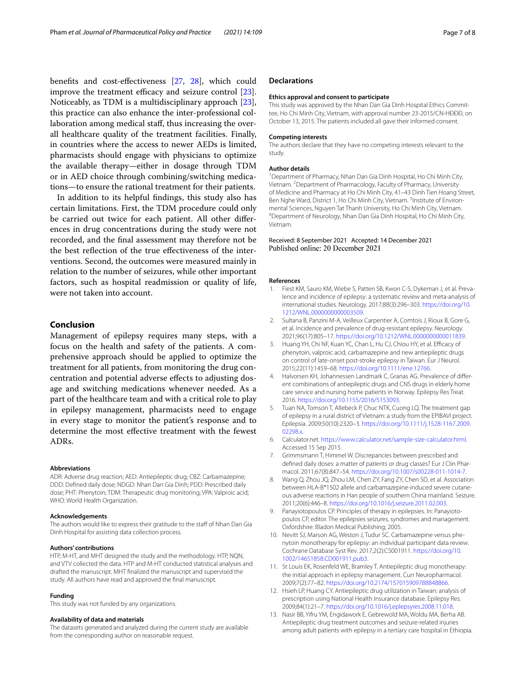benefts and cost-efectiveness [\[27](#page-7-14), [28](#page-7-13)], which could improve the treatment efficacy and seizure control [\[23](#page-7-9)]. Noticeably, as TDM is a multidisciplinary approach [\[23](#page-7-9)], this practice can also enhance the inter-professional collaboration among medical staf, thus increasing the overall healthcare quality of the treatment facilities. Finally, in countries where the access to newer AEDs is limited, pharmacists should engage with physicians to optimize the available therapy—either in dosage through TDM or in AED choice through combining/switching medications—to ensure the rational treatment for their patients.

In addition to its helpful fndings, this study also has certain limitations. First, the TDM procedure could only be carried out twice for each patient. All other diferences in drug concentrations during the study were not recorded, and the fnal assessment may therefore not be the best refection of the true efectiveness of the interventions. Second, the outcomes were measured mainly in relation to the number of seizures, while other important factors, such as hospital readmission or quality of life, were not taken into account.

# **Conclusion**

Management of epilepsy requires many steps, with a focus on the health and safety of the patients. A comprehensive approach should be applied to optimize the treatment for all patients, from monitoring the drug concentration and potential adverse efects to adjusting dosage and switching medications whenever needed. As a part of the healthcare team and with a critical role to play in epilepsy management, pharmacists need to engage in every stage to monitor the patient's response and to determine the most efective treatment with the fewest ADRs.

#### **Abbreviations**

ADR: Adverse drug reaction; AED: Antiepileptic drug; CBZ: Carbamazepine; DDD: Defned daily dose; NDGD: Nhan Dan Gia Dinh; PDD: Prescribed daily dose; PHT: Phenytoin; TDM: Therapeutic drug monitoring; VPA: Valproic acid; WHO: World Health Organization.

#### **Acknowledgements**

The authors would like to express their gratitude to the staff of Nhan Dan Gia Dinh Hospital for assisting data collection process.

#### **Authors' contributions**

HTP, M-HT, and MHT designed the study and the methodology. HTP, NQN, and VTV collected the data. HTP and M-HT conducted statistical analyses and drafted the manuscript. MHT fnalized the manuscript and supervised the study. All authors have read and approved the fnal manuscript.

#### **Funding**

This study was not funded by any organizations.

#### **Availability of data and materials**

The datasets generated and analyzed during the current study are available from the corresponding author on reasonable request.

#### **Declarations**

#### **Ethics approval and consent to participate**

This study was approved by the Nhan Dan Gia Dinh Hospital Ethics Committee, Ho Chi Minh City, Vietnam, with approval number 23-2015/CN-HĐĐĐ, on October 13, 2015. The patients included all gave their informed consent.

#### **Competing interests**

The authors declare that they have no competing interests relevant to the study.

#### **Author details**

<sup>1</sup> Department of Pharmacy, Nhan Dan Gia Dinh Hospital, Ho Chi Minh City, Vietnam. <sup>2</sup> Department of Pharmacology, Faculty of Pharmacy, University of Medicine and Pharmacy at Ho Chi Minh City, 41–43 Dinh Tien Hoang Street, Ben Nghe Ward, District 1, Ho Chi Minh City, Vietnam. <sup>3</sup>Institute of Environmental Sciences, Nguyen Tat Thanh University, Ho Chi Minh City, Vietnam. 4 Department of Neurology, Nhan Dan Gia Dinh Hospital, Ho Chi Minh City, Vietnam.

#### Received: 8 September 2021 Accepted: 14 December 2021 Published online: 20 December 2021

#### **References**

- <span id="page-6-0"></span>1. Fiest KM, Sauro KM, Wiebe S, Patten SB, Kwon C-S, Dykeman J, et al. Prevalence and incidence of epilepsy: a systematic review and meta-analysis of international studies. Neurology. 2017;88(3):296–303. [https://doi.org/10.](https://doi.org/10.1212/WNL.0000000000003509) [1212/WNL.0000000000003509](https://doi.org/10.1212/WNL.0000000000003509).
- <span id="page-6-1"></span>2. Sultana B, Panzini M-A, Veilleux Carpentier A, Comtois J, Rioux B, Gore G, et al. Incidence and prevalence of drug-resistant epilepsy. Neurology. 2021;96(17):805–17. [https://doi.org/10.1212/WNL.0000000000011839.](https://doi.org/10.1212/WNL.0000000000011839)
- <span id="page-6-2"></span>3. Huang YH, Chi NF, Kuan YC, Chan L, Hu CJ, Chiou HY, et al. Efficacy of phenytoin, valproic acid, carbamazepine and new antiepileptic drugs on control of late-onset post-stroke epilepsy in Taiwan. Eur J Neurol. 2015;22(11):1459–68. [https://doi.org/10.1111/ene.12766.](https://doi.org/10.1111/ene.12766)
- <span id="page-6-3"></span>4. Halvorsen KH, Johannessen Landmark C, Granas AG. Prevalence of different combinations of antiepileptic drugs and CNS drugs in elderly home care service and nursing home patients in Norway. Epilepsy Res Treat. 2016.<https://doi.org/10.1155/2016/5153093>.
- <span id="page-6-4"></span>5. Tuan NA, Tomson T, Allebeck P, Chuc NTK, Cuong LQ. The treatment gap of epilepsy in a rural district of Vietnam: a study from the EPIBAVI project. Epilepsia. 2009;50(10):2320–3. [https://doi.org/10.1111/j.1528-1167.2009.](https://doi.org/10.1111/j.1528-1167.2009.02298.x) [02298.x.](https://doi.org/10.1111/j.1528-1167.2009.02298.x)
- <span id="page-6-5"></span>6. Calculator.net. [https://www.calculator.net/sample-size-calculator.html.](https://www.calculator.net/sample-size-calculator.html) Accessed 15 Sep 2015.
- <span id="page-6-6"></span>7. Grimmsmann T, Himmel W. Discrepancies between prescribed and defined daily doses: a matter of patients or drug classes? Eur J Clin Pharmacol. 2011;67(8):847–54.<https://doi.org/10.1007/s00228-011-1014-7>.
- <span id="page-6-7"></span>8. Wang Q, Zhou JQ, Zhou LM, Chen ZY, Fang ZY, Chen SD, et al. Association between HLA-B\*1502 allele and carbamazepine-induced severe cutaneous adverse reactions in Han people of southern China mainland. Seizure. 2011;20(6):446–8.<https://doi.org/10.1016/j.seizure.2011.02.003>.
- <span id="page-6-8"></span>9. Panayiotopoulos CP. Principles of therapy in epilepsies. In: Panayiotopoulos CP, editor. The epilepsies seizures, syndromes and management. Oxfordshire: Bladon Medical Publishing; 2005.
- <span id="page-6-9"></span>10. Nevitt SJ, Marson AG, Weston J, Tudur SC. Carbamazepine versus phenytoin monotherapy for epilepsy: an individual participant data review. Cochrane Database Syst Rev. 2017;2(2):CS001911. [https://doi.org/10.](https://doi.org/10.1002/14651858.CD001911.pub3) [1002/14651858.CD001911.pub3.](https://doi.org/10.1002/14651858.CD001911.pub3)
- <span id="page-6-10"></span>11. St Louis EK, Rosenfeld WE, Bramley T. Antiepileptic drug monotherapy: the initial approach in epilepsy management. Curr Neuropharmacol. 2009;7(2):77–82. <https://doi.org/10.2174/157015909788848866>.
- <span id="page-6-11"></span>12. Hsieh LP, Huang CY. Antiepileptic drug utilization in Taiwan: analysis of prescription using National Health Insurance database. Epilepsy Res. 2009;84(1):21–7. [https://doi.org/10.1016/j.eplepsyres.2008.11.018.](https://doi.org/10.1016/j.eplepsyres.2008.11.018)
- <span id="page-6-12"></span>13. Nasir BB, Yifru YM, Engidawork E, Gebrewold MA, Woldu MA, Berha AB. Antiepileptic drug treatment outcomes and seizure-related injuries among adult patients with epilepsy in a tertiary care hospital in Ethiopia.